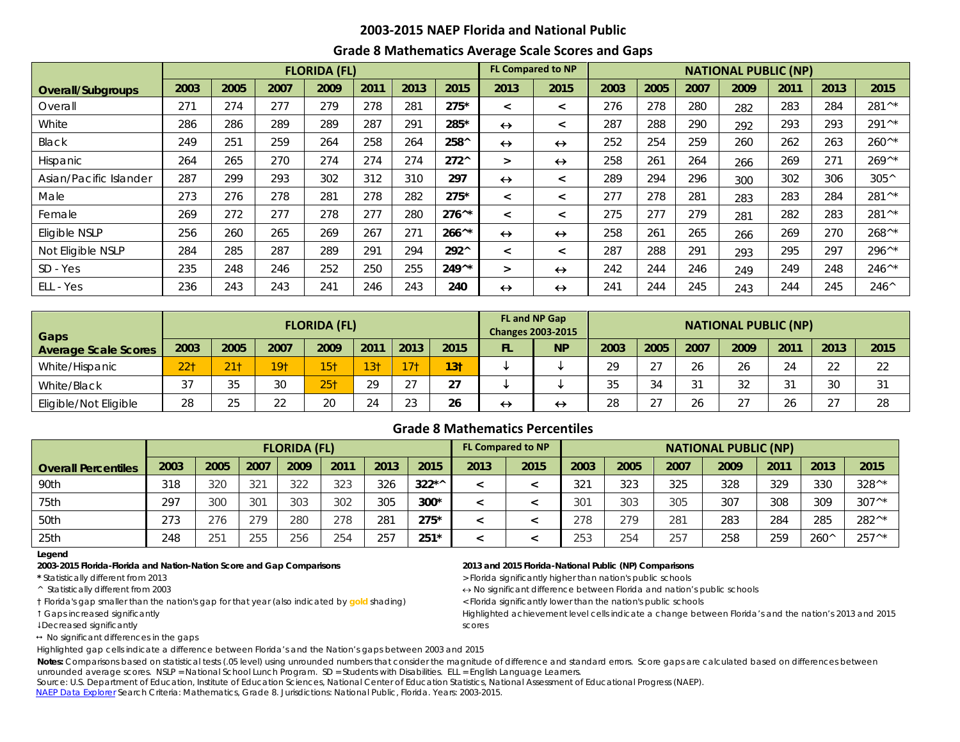## **2003-2015 NAEP Florida and National Public**

## **Grade 8 Mathematics Average Scale Scores and Gaps**

|                        |      |      |      | <b>FLORIDA (FL)</b> |      |      |                 |                   | <b>FL Compared to NP</b> | <b>NATIONAL PUBLIC (NP)</b> |      |      |      |      |      |                  |  |  |
|------------------------|------|------|------|---------------------|------|------|-----------------|-------------------|--------------------------|-----------------------------|------|------|------|------|------|------------------|--|--|
| Overall/Subgroups      | 2003 | 2005 | 2007 | 2009                | 2011 | 2013 | 2015            | 2013              | 2015                     | 2003                        | 2005 | 2007 | 2009 | 2011 | 2013 | 2015             |  |  |
| Overall                | 271  | 274  | 277  | 279                 | 278  | 281  | $275*$          | $\prec$           | $\prec$                  | 276                         | 278  | 280  | 282  | 283  | 284  | 281^*            |  |  |
| White                  | 286  | 286  | 289  | 289                 | 287  | 291  | 285*            | $\leftrightarrow$ | $\prec$                  | 287                         | 288  | 290  | 292  | 293  | 293  | $291^{A*}$       |  |  |
| Black                  | 249  | 251  | 259  | 264                 | 258  | 264  | 258^            | $\leftrightarrow$ | $\leftrightarrow$        | 252                         | 254  | 259  | 260  | 262  | 263  | $260^{\wedge *}$ |  |  |
| Hispanic               | 264  | 265  | 270  | 274                 | 274  | 274  | $272^{\wedge}$  | $\geq$            | $\leftrightarrow$        | 258                         | 261  | 264  | 266  | 269  | 271  | $269^{\wedge *}$ |  |  |
| Asian/Pacific Islander | 287  | 299  | 293  | 302                 | 312  | 310  | 297             | $\leftrightarrow$ | $\prec$                  | 289                         | 294  | 296  | 300  | 302  | 306  | $305^{\wedge}$   |  |  |
| Male                   | 273  | 276  | 278  | 281                 | 278  | 282  | $275*$          | $\prec$           | $\prec$                  | 277                         | 278  | 281  | 283  | 283  | 284  | 281^*            |  |  |
| Female                 | 269  | 272  | 277  | 278                 | 277  | 280  | $276^{\wedge*}$ | $\prec$           | $\,<\,$                  | 275                         | 277  | 279  | 281  | 282  | 283  | 281^*            |  |  |
| Eligible NSLP          | 256  | 260  | 265  | 269                 | 267  | 271  | $266^{\wedge*}$ | $\leftrightarrow$ | $\leftrightarrow$        | 258                         | 261  | 265  | 266  | 269  | 270  | $268^{\wedge*}$  |  |  |
| Not Eligible NSLP      | 284  | 285  | 287  | 289                 | 291  | 294  | 292^            | $\prec$           | $\overline{a}$           | 287                         | 288  | 291  | 293  | 295  | 297  | $296^{\wedge*}$  |  |  |
| SD - Yes               | 235  | 248  | 246  | 252                 | 250  | 255  | $249^{\wedge*}$ | $\geq$            | $\leftrightarrow$        | 242                         | 244  | 246  | 249  | 249  | 248  | $246^{\wedge *}$ |  |  |
| ELL - Yes              | 236  | 243  | 243  | 241                 | 246  | 243  | 240             | $\leftrightarrow$ | $\leftrightarrow$        | 241                         | 244  | 245  | 243  | 244  | 245  | $246^{\circ}$    |  |  |

| Gaps                        |                      |                 |                 | <b>FLORIDA (FL)</b> |                 |                 |                 |    | FL and NP Gap<br><b>Changes 2003-2015</b> | <b>NATIONAL PUBLIC (NP)</b> |            |      |                      |      |        |      |  |  |  |
|-----------------------------|----------------------|-----------------|-----------------|---------------------|-----------------|-----------------|-----------------|----|-------------------------------------------|-----------------------------|------------|------|----------------------|------|--------|------|--|--|--|
| <b>Average Scale Scores</b> | 2003                 | 2005            | 2007            | 2009                | 2011            | 2013            | 2015            | FL | N <sub>P</sub>                            | 2003                        | 2005       | 2007 | 2009                 | 2011 | 2013   | 2015 |  |  |  |
| White/Hispanic              | 22 <sub>1</sub>      | 21 <sub>1</sub> | 19 <sub>1</sub> | 15 <sub>1</sub>     | 13 <sub>†</sub> | 17 <sub>†</sub> | 13 <sub>1</sub> |    |                                           | 29                          | $\sim$ $-$ | 26   | 26                   | 24   | 22     | 22   |  |  |  |
| White/Black                 | $\sim$ $\rightarrow$ | ろど<br>ں ر       | 30              | 251                 | 29              | $\cap$          | 27              |    |                                           | 35                          | $\sim$     | 21   | つつ                   | 31   | 30     | 31   |  |  |  |
| Eligible/Not Eligible       | 28                   | つら<br>دے        | へへ              | 20                  | 24              | 23              | 26              | ↔  | ↔                                         | 28                          | $\sim$     | 26   | $\sim$ $\sim$<br>، ے | 26   | $\cap$ | 28   |  |  |  |

## **Grade 8 Mathematics Percentiles**

|                            |      |      |      | <b>FLORIDA (FL)</b>  |      |      |         | <b>FL Compared to NP</b> |      | <b>NATIONAL PUBLIC (NP)</b> |      |      |      |      |               |                  |  |  |
|----------------------------|------|------|------|----------------------|------|------|---------|--------------------------|------|-----------------------------|------|------|------|------|---------------|------------------|--|--|
| <b>Overall Percentiles</b> | 2003 | 2005 | 2007 | 2009                 | 2011 | 2013 | 2015    | 2013                     | 2015 | 2003                        | 2005 | 2007 | 2009 | 2011 | 2013          | 2015             |  |  |
| 90th                       | 318  | 320  | 321  | 322                  | 323  | 326  | $322**$ |                          |      | 321                         | 323  | 325  | 328  | 329  | 330           | $328^{\wedge *}$ |  |  |
| 75th                       | 297  | 300  | 301  | 303                  | 302  | 305  | $300*$  |                          |      | 301                         | 303  | 305  | 307  | 308  | 309           | $307^{\wedge *}$ |  |  |
| 50th                       | 273  | 276  | 279  | 280                  | 278  | 281  | $275*$  |                          |      | 278                         | 279  | 281  | 283  | 284  | 285           | $282^{\wedge *}$ |  |  |
| 25th                       | 248  | 251  | 255  | $\cap$ $\Box$<br>256 | 254  | 257  | $251*$  |                          |      | 253                         | 254  | 257  | 258  | 259  | $260^{\circ}$ | $257^{\wedge*}$  |  |  |

**Legend**

## **2003-2015 Florida-Florida and Nation-Nation Score and Gap Comparisons 2013 and 2015 Florida-National Public (NP) Comparisons**

† Florida's gap smaller than the nation's gap for that year (also indicated by **gold** shading) < Florida significantly lower than the nation's public schools

Decreased significantly scores

 $\leftrightarrow$  No significant differences in the gaps

\* Statistically different from 2013 **All and Statistically and Statistically higher than nation's public schools** 

^ Statistically different from 2003 ↔ No significant difference between Florida and nation's public schools

Gaps increased significantly Highlighted achievement level cells indicate a change between Florida's and the nation's 2013 and 2015

Highlighted gap cells indicate a difference between Florida's and the Nation's gaps between 2003 and 2015

Notes: Comparisons based on statistical tests (.05 level) using unrounded numbers that consider the magnitude of difference and standard errors. Score gaps are calculated based on differences between unrounded average scores. NSLP = National School Lunch Program. SD = Students with Disabilities. ELL = English Language Learners.

 Source: U.S. Department of Education, Institute of Education Sciences, National Center of Education Statistics, National Assessment of Educational Progress (NAEP). [NAEP Data Explorer](http://nces.ed.gov/nationsreportcard/naepdata/) Search Criteria: Mathematics, Grade 8. Jurisdictions: National Public, Florida. Years: 2003-2015.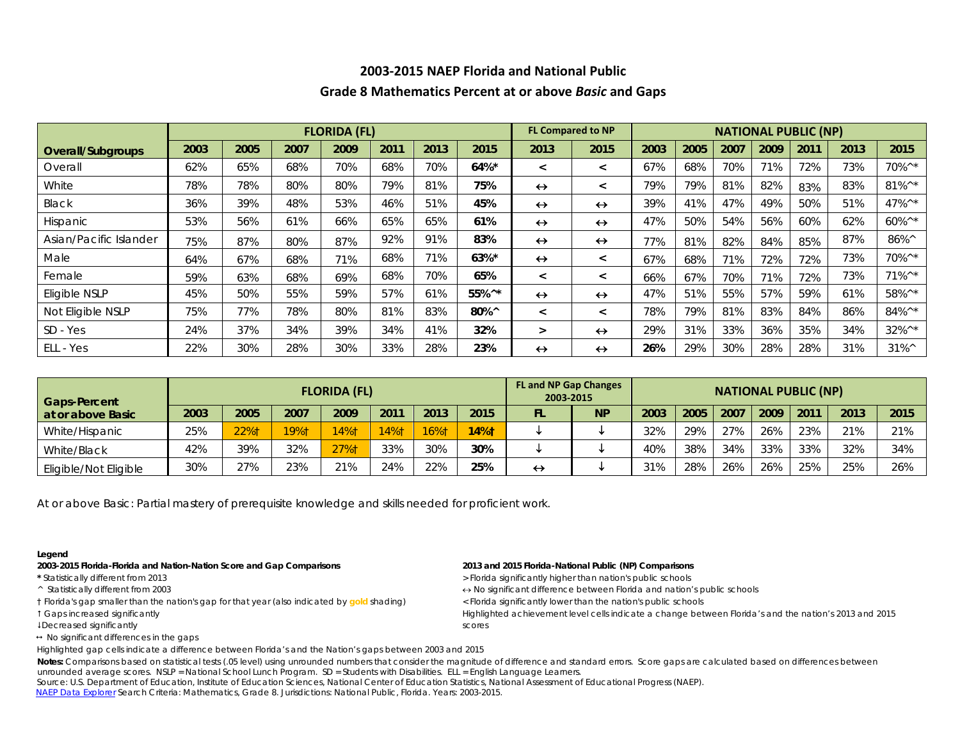# **2003-2015 NAEP Florida and National Public**

## **Grade 8 Mathematics Percent at or above** *Basic* **and Gaps**

|                        |      |      |      | <b>FLORIDA (FL)</b> |      |      |                     | <b>FL Compared to NP</b> |                          | <b>NATIONAL PUBLIC (NP)</b> |      |      |      |      |      |                  |  |  |  |
|------------------------|------|------|------|---------------------|------|------|---------------------|--------------------------|--------------------------|-----------------------------|------|------|------|------|------|------------------|--|--|--|
| Overall/Subgroups      | 2003 | 2005 | 2007 | 2009                | 2011 | 2013 | 2015                | 2013                     | 2015                     | 2003                        | 2005 | 2007 | 2009 | 2011 | 2013 | 2015             |  |  |  |
| Overall                | 62%  | 65%  | 68%  | 70%                 | 68%  | 70%  | 64%*                | $\lt$                    | $\overline{\phantom{0}}$ | 67%                         | 68%  | 70%  | 71%  | 72%  | 73%  | 70%^*            |  |  |  |
| White                  | 78%  | 78%  | 80%  | 80%                 | 79%  | 81%  | 75%                 | $\leftrightarrow$        | $\,<\,$                  | 79%                         | 79%  | 81%  | 82%  | 83%  | 83%  | $81\%^{\wedge*}$ |  |  |  |
| Black                  | 36%  | 39%  | 48%  | 53%                 | 46%  | 51%  | 45%                 | $\leftrightarrow$        | $\leftrightarrow$        | 39%                         | 41%  | 47%  | 49%  | 50%  | 51%  | 47%^*            |  |  |  |
| <b>Hispanic</b>        | 53%  | 56%  | 61%  | 66%                 | 65%  | 65%  | 61%                 | $\leftrightarrow$        | $\leftrightarrow$        | 47%                         | 50%  | 54%  | 56%  | 60%  | 62%  | 60%^*            |  |  |  |
| Asian/Pacific Islander | 75%  | 87%  | 80%  | 87%                 | 92%  | 91%  | 83%                 | $\leftrightarrow$        | $\leftrightarrow$        | 77%                         | 81%  | 82%  | 84%  | 85%  | 87%  | 86%^             |  |  |  |
| Male                   | 64%  | 67%  | 68%  | 71%                 | 68%  | 71%  | $63\%$ *            | $\leftrightarrow$        | $\,<\,$                  | 67%                         | 68%  | 71%  | 72%  | 72%  | 73%  | 70%^*            |  |  |  |
| Female                 | 59%  | 63%  | 68%  | 69%                 | 68%  | 70%  | 65%                 | $\prec$                  | $\,<\,$                  | 66%                         | 67%  | 70%  | 71%  | 72%  | 73%  | $71\%^{\wedge*}$ |  |  |  |
| Eligible NSLP          | 45%  | 50%  | 55%  | 59%                 | 57%  | 61%  | 55%^*               | $\leftrightarrow$        | $\leftrightarrow$        | 47%                         | 51%  | 55%  | 57%  | 59%  | 61%  | 58%^*            |  |  |  |
| Not Eligible NSLP      | 75%  | 77%  | 78%  | 80%                 | 81%  | 83%  | $80\%$ <sup>^</sup> | $\,<\,$                  | $\overline{\phantom{0}}$ | 78%                         | 79%  | 81%  | 83%  | 84%  | 86%  | 84%^*            |  |  |  |
| SD - Yes               | 24%  | 37%  | 34%  | 39%                 | 34%  | 41%  | 32%                 | $\geq$                   | $\leftrightarrow$        | 29%                         | 31%  | 33%  | 36%  | 35%  | 34%  | $32\%^{\wedge*}$ |  |  |  |
| ELL - Yes              | 22%  | 30%  | 28%  | 30%                 | 33%  | 28%  | 23%                 | $\leftrightarrow$        | $\leftrightarrow$        | 26%                         | 29%  | 30%  | 28%  | 28%  | 31%  | $31\%^{\wedge}$  |  |  |  |

| <b>Gaps-Percent</b>   |      |      |      | <b>FLORIDA (FL)</b> |         |      |         | <b>FL and NP Gap Changes</b><br>2003-2015 |           | <b>NATIONAL PUBLIC (NP)</b> |      |      |      |      |      |      |  |  |  |
|-----------------------|------|------|------|---------------------|---------|------|---------|-------------------------------------------|-----------|-----------------------------|------|------|------|------|------|------|--|--|--|
| at or above Basic     | 2003 | 2005 | 2007 | 2009                | 2011    | 2013 | 2015    | FL                                        | <b>NP</b> | 2003                        | 2005 | 2007 | 2009 | 2011 | 2013 | 2015 |  |  |  |
| White/Hispanic        | 25%  | 22%1 | 19%† | $14%$ <sup>†</sup>  | $14%$ † | 16%1 | $14%$ † |                                           |           | 32%                         | 29%  | 27%  | 26%  | 23%  | 21%  | 21%  |  |  |  |
| White/Black           | 42%  | 39%  | 32%  | 27%1                | 33%     | 30%  | 30%     |                                           |           | 40%                         | 38%  | 34%  | 33%  | 33%  | 32%  | 34%  |  |  |  |
| Eligible/Not Eligible | 30%  | 27%  | 23%  | 21%                 | 24%     | 22%  | 25%     | ↔                                         |           | 31%                         | 28%  | 26%  | 26%  | 25%  | 25%  | 26%  |  |  |  |

At or above *Basic*: Partial mastery of prerequisite knowledge and skills needed for proficient work.

### **Legend**

### **2003-2015 Florida-Florida and Nation-Nation Score and Gap Comparisons 2013 and 2015 Florida-National Public (NP) Comparisons**

- 
- 
- † Florida's gap smaller than the nation's gap for that year (also indicated by **gold** shading) < Florida significantly lower than the nation's public schools
- 
- Decreased significantly scores
- $\leftrightarrow$  No significant differences in the gaps

- \* Statistically different from 2013 **All and Statistically and Statistically higher than nation's public schools**
- ^ Statistically different from 2003 ↔ No significant difference between Florida and nation's public schools
	-

Gaps increased significantly Highlighted achievement level cells indicate a change between Florida's and the nation's 2013 and 2015

Highlighted gap cells indicate a difference between Florida's and the Nation's gaps between 2003 and 2015

Notes: Comparisons based on statistical tests (.05 level) using unrounded numbers that consider the magnitude of difference and standard errors. Score gaps are calculated based on differences between unrounded average scores. NSLP = National School Lunch Program. SD = Students with Disabilities. ELL = English Language Learners.

 Source: U.S. Department of Education, Institute of Education Sciences, National Center of Education Statistics, National Assessment of Educational Progress (NAEP). [NAEP Data Explorer](http://nces.ed.gov/nationsreportcard/naepdata/) Search Criteria: Mathematics, Grade 8. Jurisdictions: National Public, Florida. Years: 2003-2015.